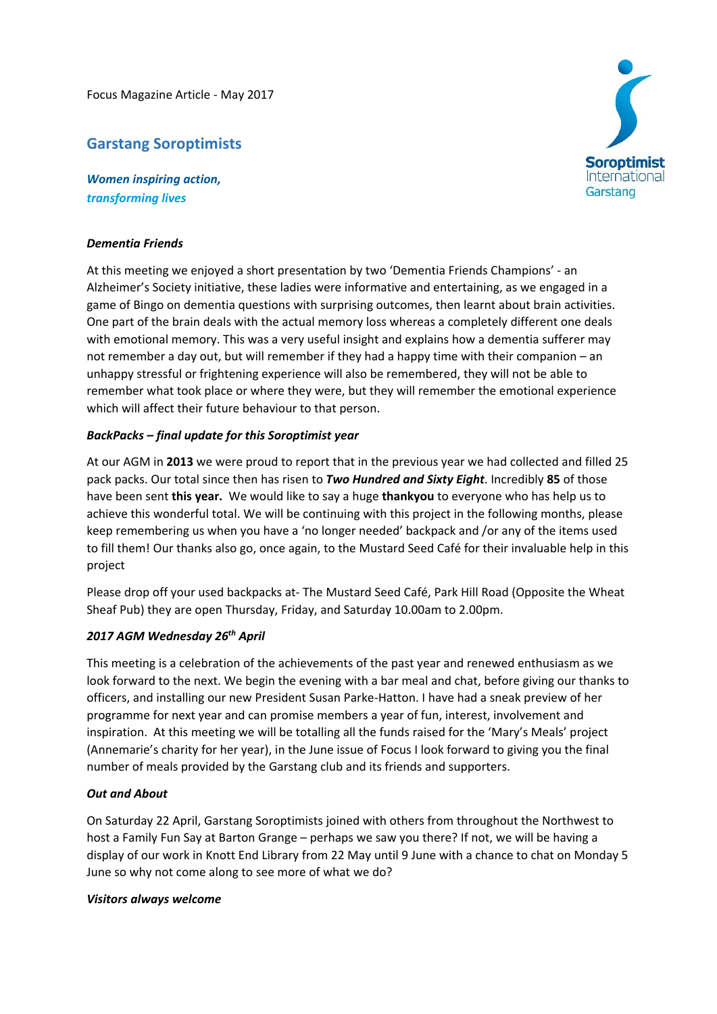Focus Magazine Article ‐ May 2017

# **Garstang Soroptimists**

*Women inspiring action, transforming lives*

## *Dementia Friends*

At this meeting we enjoyed a short presentation by two 'Dementia Friends Champions' ‐ an Alzheimer's Society initiative, these ladies were informative and entertaining, as we engaged in a game of Bingo on dementia questions with surprising outcomes, then learnt about brain activities. One part of the brain deals with the actual memory loss whereas a completely different one deals with emotional memory. This was a very useful insight and explains how a dementia sufferer may not remember a day out, but will remember if they had a happy time with their companion – an unhappy stressful or frightening experience will also be remembered, they will not be able to remember what took place or where they were, but they will remember the emotional experience which will affect their future behaviour to that person.

## *BackPacks – final update for this Soroptimist year*

At our AGM in **2013** we were proud to report that in the previous year we had collected and filled 25 pack packs. Our total since then has risen to *Two Hundred and Sixty Eight*. Incredibly **85** of those have been sent **this year.** We would like to say a huge **thankyou** to everyone who has help us to achieve this wonderful total. We will be continuing with this project in the following months, please keep remembering us when you have a 'no longer needed' backpack and /or any of the items used to fill them! Our thanks also go, once again, to the Mustard Seed Café for their invaluable help in this project

Please drop off your used backpacks at‐ The Mustard Seed Café, Park Hill Road (Opposite the Wheat Sheaf Pub) they are open Thursday, Friday, and Saturday 10.00am to 2.00pm.

# *2017 AGM Wednesday 26th April*

This meeting is a celebration of the achievements of the past year and renewed enthusiasm as we look forward to the next. We begin the evening with a bar meal and chat, before giving our thanks to officers, and installing our new President Susan Parke‐Hatton. I have had a sneak preview of her programme for next year and can promise members a year of fun, interest, involvement and inspiration. At this meeting we will be totalling all the funds raised for the 'Mary's Meals' project (Annemarie's charity for her year), in the June issue of Focus I look forward to giving you the final number of meals provided by the Garstang club and its friends and supporters.

### *Out and About*

On Saturday 22 April, Garstang Soroptimists joined with others from throughout the Northwest to host a Family Fun Say at Barton Grange – perhaps we saw you there? If not, we will be having a display of our work in Knott End Library from 22 May until 9 June with a chance to chat on Monday 5 June so why not come along to see more of what we do?

### *Visitors always welcome*